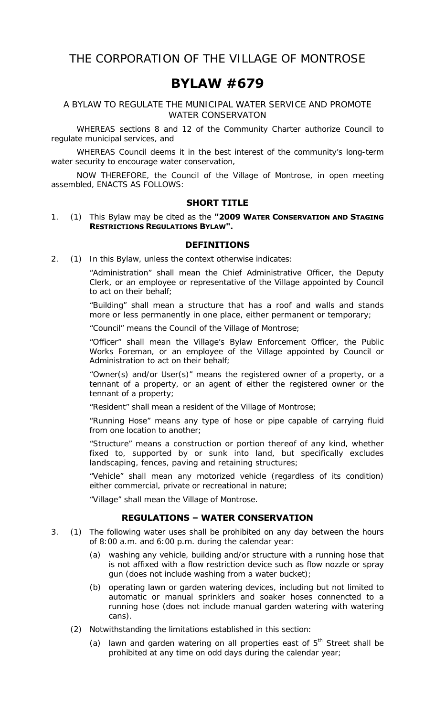# **BYLAW #679**

A BYLAW TO REGULATE THE MUNICIPAL WATER SERVICE AND PROMOTE WATER CONSERVATON

 WHEREAS sections 8 and 12 of the *Community Charter* authorize Council to regulate municipal services, and

 WHEREAS Council deems it in the best interest of the community's long-term water security to encourage water conservation,

 NOW THEREFORE, the Council of the Village of Montrose, in open meeting assembled, ENACTS AS FOLLOWS:

#### **SHORT TITLE**

1. (1) This Bylaw may be cited as the **"2009 WATER CONSERVATION AND STAGING RESTRICTIONS REGULATIONS BYLAW".** 

#### **DEFINITIONS**

2. (1) In this Bylaw, unless the context otherwise indicates:

 "Administration" shall mean the Chief Administrative Officer, the Deputy Clerk, or an employee or representative of the Village appointed by Council to act on their behalf;

 "Building" shall mean a structure that has a roof and walls and stands more or less permanently in one place, either permanent or temporary;

"Council" means the Council of the Village of Montrose;

 "Officer" shall mean the Village's Bylaw Enforcement Officer, the Public Works Foreman, or an employee of the Village appointed by Council or Administration to act on their behalf;

 "Owner(s) and/or User(s)" means the registered owner of a property, or a tennant of a property, or an agent of either the registered owner or the tennant of a property;

"Resident" shall mean a resident of the Village of Montrose;

 "Running Hose" means any type of hose or pipe capable of carrying fluid from one location to another;

 "Structure" means a construction or portion thereof of any kind, whether fixed to, supported by or sunk into land, but specifically excludes landscaping, fences, paving and retaining structures;

 "Vehicle" shall mean any motorized vehicle (regardless of its condition) either commercial, private or recreational in nature;

"Village" shall mean the Village of Montrose.

## **REGULATIONS – WATER CONSERVATION**

- 3. (1) The following water uses shall be prohibited on any day between the hours of 8:00 a.m. and 6:00 p.m. during the calendar year:
	- (a) washing any vehicle, building and/or structure with a running hose that is not affixed with a flow restriction device such as flow nozzle or spray gun (does not include washing from a water bucket);
	- (b) operating lawn or garden watering devices, including but not limited to automatic or manual sprinklers and soaker hoses connencted to a running hose (does not include manual garden watering with watering cans).
	- (2) Notwithstanding the limitations established in this section:
		- (a) lawn and garden watering on all properties east of  $5<sup>th</sup>$  Street shall be prohibited at any time on odd days during the calendar year;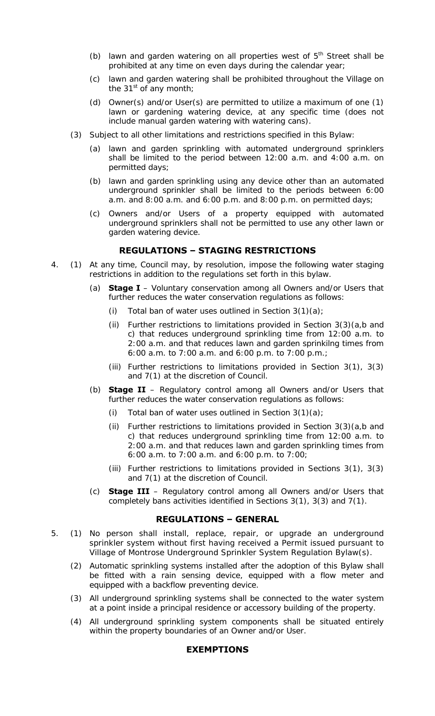- (b) lawn and garden watering on all properties west of  $5<sup>th</sup>$  Street shall be prohibited at any time on even days during the calendar year;
- (c) lawn and garden watering shall be prohibited throughout the Village on the 31 $\mathrm{st}$  of any month;
- (d) Owner(s) and/or User(s) are permitted to utilize a maximum of one (1) lawn or gardening watering device, at any specific time (does not include manual garden watering with watering cans).
- (3) Subject to all other limitations and restrictions specified in this Bylaw:
	- (a) lawn and garden sprinkling with automated underground sprinklers shall be limited to the period between 12:00 a.m. and 4:00 a.m. on permitted days;
	- (b) lawn and garden sprinkling using any device other than an automated underground sprinkler shall be limited to the periods between 6:00 a.m. and 8:00 a.m. and 6:00 p.m. and 8:00 p.m. on permitted days;
	- (c) Owners and/or Users of a property equipped with automated underground sprinklers shall not be permitted to use any other lawn or garden watering device.

### **REGULATIONS – STAGING RESTRICTIONS**

- 4. (1) At any time, Council may, by resolution, impose the following water staging restrictions in addition to the regulations set forth in this bylaw.
	- (a) **Stage I**  Voluntary conservation among all Owners and/or Users that further reduces the water conservation regulations as follows:
		- (i) Total ban of water uses outlined in Section  $3(1)(a)$ ;
		- (ii) Further restrictions to limitations provided in Section  $3(3)(a,b)$  and c) that reduces underground sprinkling time from 12:00 a.m. to 2:00 a.m. and that reduces lawn and garden sprinkilng times from 6:00 a.m. to 7:00 a.m. and 6:00 p.m. to 7:00 p.m.;
		- (iii) Further restrictions to limitations provided in Section 3(1), 3(3) and 7(1) at the discretion of Council.
	- (b) **Stage II** Regulatory control among all Owners and/or Users that further reduces the water conservation regulations as follows:
		- (i) Total ban of water uses outlined in Section  $3(1)(a)$ ;
		- (ii) Further restrictions to limitations provided in Section  $3(3)(a,b)$  and c) that reduces underground sprinkling time from 12:00 a.m. to 2:00 a.m. and that reduces lawn and garden sprinkling times from 6:00 a.m. to 7:00 a.m. and 6:00 p.m. to 7:00;
		- (iii) Further restrictions to limitations provided in Sections 3(1), 3(3) and 7(1) at the discretion of Council.
	- (c) **Stage III** Regulatory control among all Owners and/or Users that completely bans activities identified in Sections 3(1), 3(3) and 7(1).

#### **REGULATIONS – GENERAL**

- 5. (1) No person shall install, replace, repair, or upgrade an underground sprinkler system without first having received a Permit issued pursuant to Village of Montrose Underground Sprinkler System Regulation Bylaw(s).
	- (2) Automatic sprinkling systems installed after the adoption of this Bylaw shall be fitted with a rain sensing device, equipped with a flow meter and equipped with a backflow preventing device.
	- (3) All underground sprinkling systems shall be connected to the water system at a point inside a principal residence or accessory building of the property.
	- (4) All underground sprinkling system components shall be situated entirely within the property boundaries of an Owner and/or User.

#### **EXEMPTIONS**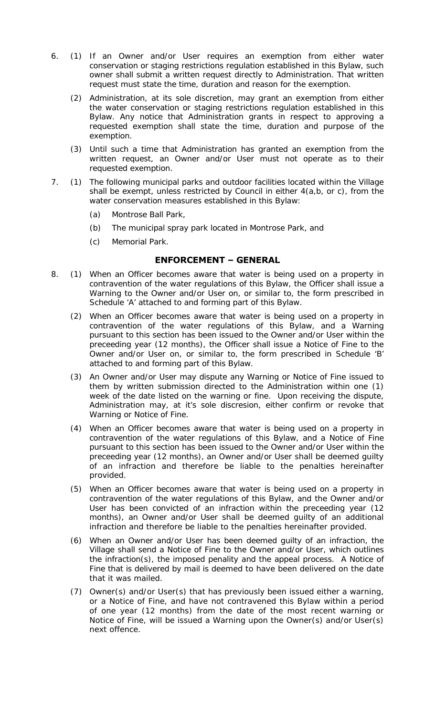- 6. (1) If an Owner and/or User requires an exemption from either water conservation or staging restrictions regulation established in this Bylaw, such owner shall submit a written request directly to Administration. That written request must state the time, duration and reason for the exemption.
	- (2) Administration, at its sole discretion, may grant an exemption from either the water conservation or staging restrictions regulation established in this Bylaw. Any notice that Administration grants in respect to approving a requested exemption shall state the time, duration and purpose of the exemption.
	- (3) Until such a time that Administration has granted an exemption from the written request, an Owner and/or User must not operate as to their requested exemption.
- 7. (1) The following municipal parks and outdoor facilities located within the Village shall be exempt, unless restricted by Council in either 4(a,b, or c), from the water conservation measures established in this Bylaw:
	- (a) Montrose Ball Park,
	- (b) The municipal spray park located in Montrose Park, and
	- (c) Memorial Park.

## **ENFORCEMENT – GENERAL**

- 8. (1) When an Officer becomes aware that water is being used on a property in contravention of the water regulations of this Bylaw, the Officer shall issue a Warning to the Owner and/or User on, or similar to, the form prescribed in Schedule 'A' attached to and forming part of this Bylaw.
	- (2) When an Officer becomes aware that water is being used on a property in contravention of the water regulations of this Bylaw, and a Warning pursuant to this section has been issued to the Owner and/or User within the preceeding year (12 months), the Officer shall issue a Notice of Fine to the Owner and/or User on, or similar to, the form prescribed in Schedule 'B' attached to and forming part of this Bylaw.
	- (3) An Owner and/or User may dispute any Warning or Notice of Fine issued to them by written submission directed to the Administration within one (1) week of the date listed on the warning or fine. Upon receiving the dispute, Administration may, at it's sole discresion, either confirm or revoke that Warning or Notice of Fine.
	- (4) When an Officer becomes aware that water is being used on a property in contravention of the water regulations of this Bylaw, and a Notice of Fine pursuant to this section has been issued to the Owner and/or User within the preceeding year (12 months), an Owner and/or User shall be deemed guilty of an infraction and therefore be liable to the penalties hereinafter provided.
	- (5) When an Officer becomes aware that water is being used on a property in contravention of the water regulations of this Bylaw, and the Owner and/or User has been convicted of an infraction within the preceeding year (12 months), an Owner and/or User shall be deemed guilty of an additional infraction and therefore be liable to the penalties hereinafter provided.
	- (6) When an Owner and/or User has been deemed guilty of an infraction, the Village shall send a Notice of Fine to the Owner and/or User, which outlines the infraction(s), the imposed penality and the appeal process. A Notice of Fine that is delivered by mail is deemed to have been delivered on the date that it was mailed.
	- (7) Owner(s) and/or User(s) that has previously been issued either a warning, or a Notice of Fine, and have not contravened this Bylaw within a period of one year (12 months) from the date of the most recent warning or Notice of Fine, will be issued a Warning upon the Owner(s) and/or User(s) next offence.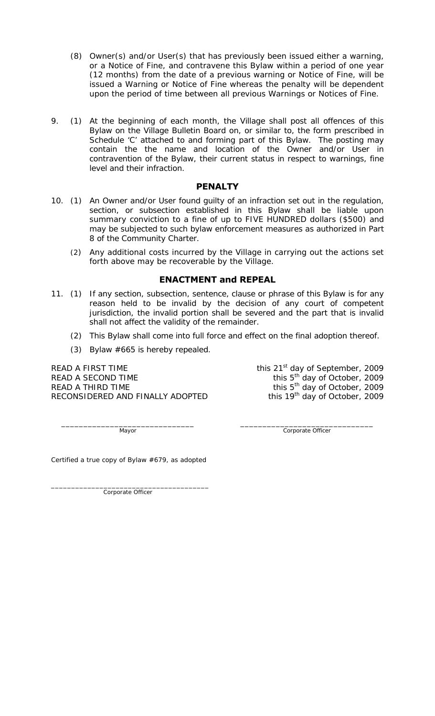- (8) Owner(s) and/or User(s) that has previously been issued either a warning, or a Notice of Fine, and contravene this Bylaw within a period of one year (12 months) from the date of a previous warning or Notice of Fine, will be issued a Warning or Notice of Fine whereas the penalty will be dependent upon the period of time between all previous Warnings or Notices of Fine.
- 9. (1) At the beginning of each month, the Village shall post all offences of this Bylaw on the Village Bulletin Board on, or similar to, the form prescribed in Schedule 'C' attached to and forming part of this Bylaw. The posting may contain the the name and location of the Owner and/or User in contravention of the Bylaw, their current status in respect to warnings, fine level and their infraction.

#### **PENALTY**

- 10. (1) An Owner and/or User found guilty of an infraction set out in the regulation, section, or subsection established in this Bylaw shall be liable upon summary conviction to a fine of up to FIVE HUNDRED dollars (\$500) and may be subjected to such bylaw enforcement measures as authorized in Part 8 of the *Community Charter*.
	- (2) Any additional costs incurred by the Village in carrying out the actions set forth above may be recoverable by the Village.

## **ENACTMENT and REPEAL**

- 11. (1) If any section, subsection, sentence, clause or phrase of this Bylaw is for any reason held to be invalid by the decision of any court of competent jurisdiction, the invalid portion shall be severed and the part that is invalid shall not affect the validity of the remainder.
	- (2) This Bylaw shall come into full force and effect on the final adoption thereof.
	- (3) Bylaw #665 is hereby repealed.

READ A FIRST TIME THE THE THIS 21<sup>st</sup> day of September, 2009 READ A SECOND TIME  $\frac{1}{2}$  this  $5^{th}$  day of October, 2009 READ A THIRD TIME  $\frac{1}{200}$  and this  $5<sup>th</sup>$  day of October, 2009 RECONSIDERED AND FINALLY ADOPTED this 19<sup>th</sup> day of October, 2009

 $\frac{1}{2}$  ,  $\frac{1}{2}$  ,  $\frac{1}{2}$  ,  $\frac{1}{2}$  ,  $\frac{1}{2}$  ,  $\frac{1}{2}$  ,  $\frac{1}{2}$  ,  $\frac{1}{2}$  ,  $\frac{1}{2}$  ,  $\frac{1}{2}$  ,  $\frac{1}{2}$  ,  $\frac{1}{2}$  ,  $\frac{1}{2}$  ,  $\frac{1}{2}$  ,  $\frac{1}{2}$  ,  $\frac{1}{2}$  ,  $\frac{1}{2}$  ,  $\frac{1}{2}$  ,  $\frac{1$ Mayor Corporate Officer

Certified a true copy of Bylaw #679, as adopted

\_\_\_\_\_\_\_\_\_\_\_\_\_\_\_\_\_\_\_\_\_\_\_\_\_\_\_\_\_\_\_\_\_\_\_\_\_\_\_ Corporate Officer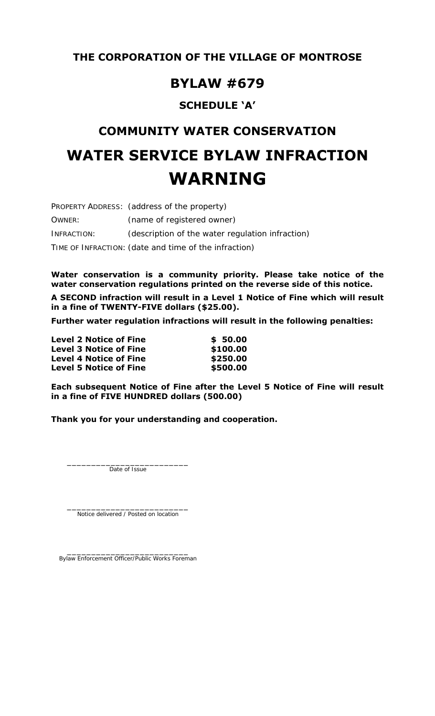## **BYLAW #679**

## **SCHEDULE 'A'**

# **COMMUNITY WATER CONSERVATION WATER SERVICE BYLAW INFRACTION WARNING**

PROPERTY ADDRESS: (address of the property) OWNER: (name of registered owner) INFRACTION: (description of the water regulation infraction) TIME OF INFRACTION: (date and time of the infraction)

**Water conservation is a community priority. Please take notice of the water conservation regulations printed on the reverse side of this notice.** 

**A SECOND infraction will result in a Level 1 Notice of Fine which will result in a fine of TWENTY-FIVE dollars (\$25.00).** 

**Further water regulation infractions will result in the following penalties:** 

| <b>Level 2 Notice of Fine</b> | \$50.00  |
|-------------------------------|----------|
| <b>Level 3 Notice of Fine</b> | \$100.00 |
| <b>Level 4 Notice of Fine</b> | \$250.00 |
| <b>Level 5 Notice of Fine</b> | \$500.00 |

**Each subsequent Notice of Fine after the Level 5 Notice of Fine will result in a fine of FIVE HUNDRED dollars (500.00)** 

**Thank you for your understanding and cooperation.** 

Date of Issue

 $\frac{1}{2}$  ,  $\frac{1}{2}$  ,  $\frac{1}{2}$  ,  $\frac{1}{2}$  ,  $\frac{1}{2}$  ,  $\frac{1}{2}$  ,  $\frac{1}{2}$  ,  $\frac{1}{2}$  ,  $\frac{1}{2}$  ,  $\frac{1}{2}$  ,  $\frac{1}{2}$  ,  $\frac{1}{2}$  ,  $\frac{1}{2}$  ,  $\frac{1}{2}$  ,  $\frac{1}{2}$  ,  $\frac{1}{2}$  ,  $\frac{1}{2}$  ,  $\frac{1}{2}$  ,  $\frac{1$ Notice delivered / Posted on location

 $\frac{1}{2}$  ,  $\frac{1}{2}$  ,  $\frac{1}{2}$  ,  $\frac{1}{2}$  ,  $\frac{1}{2}$  ,  $\frac{1}{2}$  ,  $\frac{1}{2}$  ,  $\frac{1}{2}$  ,  $\frac{1}{2}$  ,  $\frac{1}{2}$  ,  $\frac{1}{2}$  ,  $\frac{1}{2}$  ,  $\frac{1}{2}$  ,  $\frac{1}{2}$  ,  $\frac{1}{2}$  ,  $\frac{1}{2}$  ,  $\frac{1}{2}$  ,  $\frac{1}{2}$  ,  $\frac{1$ Bylaw Enforcement Officer/Public Works Foreman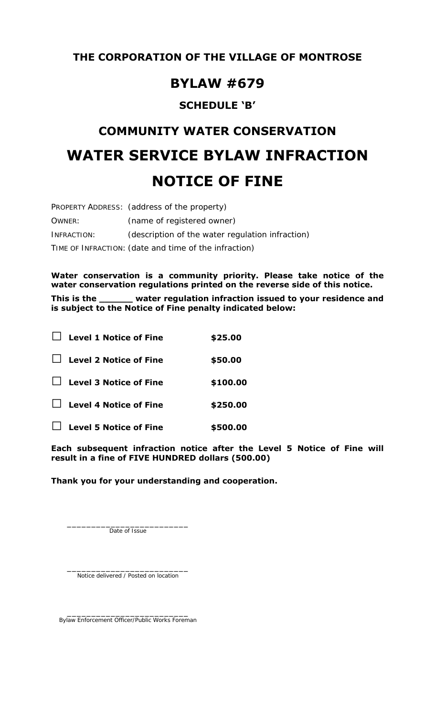## **BYLAW #679**

## **SCHEDULE 'B'**

# **COMMUNITY WATER CONSERVATION WATER SERVICE BYLAW INFRACTION NOTICE OF FINE**

|             | PROPERTY ADDRESS: (address of the property)           |
|-------------|-------------------------------------------------------|
| OWNER:      | (name of registered owner)                            |
| INFRACTION: | (description of the water regulation infraction)      |
|             | TIME OF INFRACTION: (date and time of the infraction) |

**Water conservation is a community priority. Please take notice of the water conservation regulations printed on the reverse side of this notice.** 

**This is the \_\_\_\_\_\_ water regulation infraction issued to your residence and is subject to the Notice of Fine penalty indicated below:** 

| <b>Level 1 Notice of Fine</b> | \$25.00  |
|-------------------------------|----------|
| <b>Level 2 Notice of Fine</b> | \$50.00  |
| <b>Level 3 Notice of Fine</b> | \$100.00 |
| <b>Level 4 Notice of Fine</b> | \$250.00 |
| <b>Level 5 Notice of Fine</b> | \$500.00 |

**Each subsequent infraction notice after the Level 5 Notice of Fine will result in a fine of FIVE HUNDRED dollars (500.00)** 

**Thank you for your understanding and cooperation.** 

Date of Issue

 $\frac{1}{2}$  ,  $\frac{1}{2}$  ,  $\frac{1}{2}$  ,  $\frac{1}{2}$  ,  $\frac{1}{2}$  ,  $\frac{1}{2}$  ,  $\frac{1}{2}$  ,  $\frac{1}{2}$  ,  $\frac{1}{2}$  ,  $\frac{1}{2}$  ,  $\frac{1}{2}$  ,  $\frac{1}{2}$  ,  $\frac{1}{2}$  ,  $\frac{1}{2}$  ,  $\frac{1}{2}$  ,  $\frac{1}{2}$  ,  $\frac{1}{2}$  ,  $\frac{1}{2}$  ,  $\frac{1$ Notice delivered / Posted on location

 $\frac{1}{2}$  ,  $\frac{1}{2}$  ,  $\frac{1}{2}$  ,  $\frac{1}{2}$  ,  $\frac{1}{2}$  ,  $\frac{1}{2}$  ,  $\frac{1}{2}$  ,  $\frac{1}{2}$  ,  $\frac{1}{2}$  ,  $\frac{1}{2}$  ,  $\frac{1}{2}$  ,  $\frac{1}{2}$  ,  $\frac{1}{2}$  ,  $\frac{1}{2}$  ,  $\frac{1}{2}$  ,  $\frac{1}{2}$  ,  $\frac{1}{2}$  ,  $\frac{1}{2}$  ,  $\frac{1$ Bylaw Enforcement Officer/Public Works Foreman